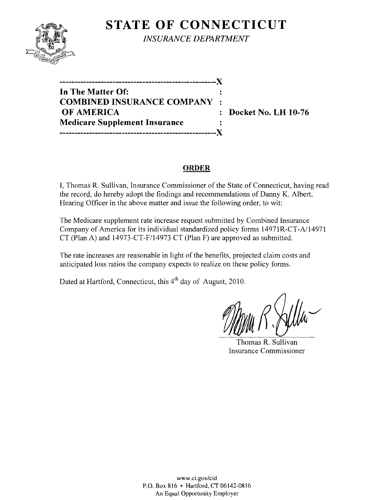

**STATE OF CONNECTICUT** *INSURANCE DEPARTMENT* 

**-----------------------------------------------------)( In The Matter Of: COMBINED INSURANCE COMPANY OF AMERICA** : Docket No. LH 10-76 **Medicare Supplement Insurance -----------------------------------------------------)(** 

# **ORDER**

I, Thomas R. Sullivan, Insurance Commissioner of the State of Connecticut, having read the record, do hereby adopt the findings and recommendations of Danny K. Albert, Hearing Officer in the above matter and issue the following order, to wit:

The Medicare supplement rate increase request submitted by Combined Insurance Company of America for its individual standardized policy forms 14971R-CT-A/14971 CT (Plan A) and 14973-CT-F/14973 CT (Plan F) are approved as submitted.

The rate increases are reasonable in light of the benefits, projected claim costs and anticipated loss ratios the company expects to realize on these policy forms.

Dated at Hartford, Connecticut, this 4<sup>th</sup> day of August, 2010.

Thomas R. Sullivan Insurance Commissioner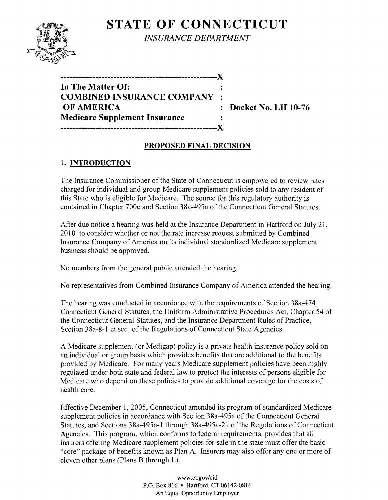# **STATE OF CONNECTICUT**



*INSURANCE DEPARTMENT* 

| *************************            |  |
|--------------------------------------|--|
| In The Matter Of:                    |  |
| <b>COMBINED INSURANCE COMPANY :</b>  |  |
| <b>OF AMERICA</b>                    |  |
| <b>Medicare Supplement Insurance</b> |  |
|                                      |  |

**Docket No. LH 10-76** 

### **PROPOSED FINAL DECISION**

# 1. **INTRODUCTION**

The Insurance Commissioner of the State of Connecticut is empowered to review rates charged for individual and group Medicare supplement policies sold to any resident of this State who is eligible for Medicare. The source for this regulatory authority is contained in Chapter 700c and Section 38a-495a of the Connecticut General Statutes.

After due notice a hearing was held at the Insurance Department in Hartford on July 21, 2010 to consider whether or not the rate increase request submitted by Combined Insurance Company of America on its individual standardized Medicare supplement business should be approved.

No members from the general public attended the hearing.

No representatives from Combined Insurance Company of America attended the hearing.

The hearing was conducted in accordance with the requirements of Section 38a-474, Connecticut General Statutes, the Uniform Administrative Procedures Act, Chapter 54 of the Connecticut General Statutes, and the Insurance Department Rules of Practice, Section 38a-8-1 et seq. of the Regulations of Connecticut State Agencies.

A Medicare supplement (or Medigap) policy is a private health insurance policy sold on an individual or group basis which provides benefits that are additional to the benefits provided by Medicare. For many years Medicare supplement policies have been highly regulated under both state and federal law to protect the interests of persons eligible for Medicare who depend on these policies to provide additional coverage for the costs of health care.

Effective December 1, 2005, Connecticut amended its program of standardized Medicare supplement policies in accordance with Section 38a-495a of the Connecticut General Statutes, and Sections 38a-495a-1 through 38a-495a-21 of the Regulations of Connecticut Agencies. This program, which conforms to federal requirements, provides that all insurers offering Medicare supplement policies for sale in the state must offer the basic "core" package of benefits known as Plan A. Insurers may also offer anyone or more of eleven other plans (Plans B through L).

> www.ct.gov/cid P.O. Box 816 • Hartford, CT 06142-0816 An Equal Opportunity Employer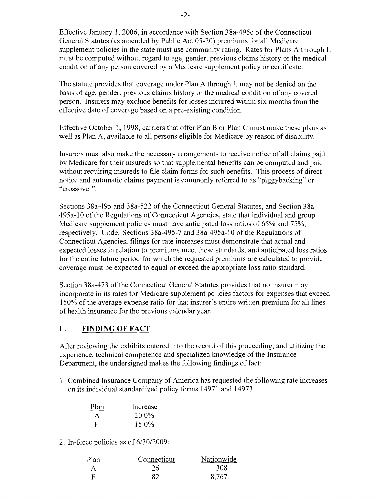Effective January 1, 2006, in accordance with Section 38a-495c of the Connecticut General Statutes (as amended by Public Act 05-20) premiums for all Medicare supplement policies in the state must use community rating. Rates for Plans A through L must be computed without regard to age, gender, previous claims history or the medical condition of any person covered by a Medicare supplement policy or certificate.

The statute provides that coverage under Plan A through L may not be denied on the basis of age, gender, previous claims history or the medical condition of any covered person. Insurers may exclude benefits for losses incurred within six months from the effective date of coverage based on a pre-existing condition.

Effective October 1, 1998, carriers that offer Plan B or Plan C must make these plans as well as Plan A, available to all persons eligible for Medicare by reason of disability.

Insurers must also make the necessary arrangements to receive notice of all claims paid by Medicare for their insureds so that supplemental benefits can be computed and paid without requiring insureds to file claim forms for such benefits. This process of direct notice and automatic claims payment is commonly referred to as "piggybacking" or "crossover".

Sections 38a-495 and 38a-522 of the Connecticut General Statutes, and Section 38a-495a-10 of the Regulations of Connecticut Agencies, state that individual and group Medicare supplement policies must have anticipated loss ratios of 65% and 75%, respectively. Under Sections 38a-495-7 and 38a-495a-l0 of the Regulations of Connecticut Agencies, filings for rate increases must demonstrate that actual and expected losses in relation to premiums meet these standards, and anticipated loss ratios for the entire future period for which the requested premiums are calculated to provide coverage must be expected to equal or exceed the appropriate loss ratio standard.

Section 38a-473 of the Connecticut General Statutes provides that no insurer may incorporate in its rates for Medicare supplement policies factors for expenses that exceed 150% of the average expense ratio for that insurer's entire written premium for all lines of health insurance for the previous calendar year.

#### II. **FINDING OF FACT**

After reviewing the exhibits entered into the record of this proceeding, and utilizing the experience, technical competence and specialized knowledge of the Insurance Department, the undersigned makes the following findings of fact:

1. Combined Insurance Company of America has requested the following rate increases on its individual standardized policy forms 14971 and 14973:

| Plan         | Increase |
|--------------|----------|
| $\mathsf{A}$ | 20.0%    |
| F            | 15.0%    |

2. In-force policies as of 6/30/2009:

| Plan | Connecticut | Nationwide |
|------|-------------|------------|
|      | 26          | 308        |
| -F   | 82          | 8.767      |